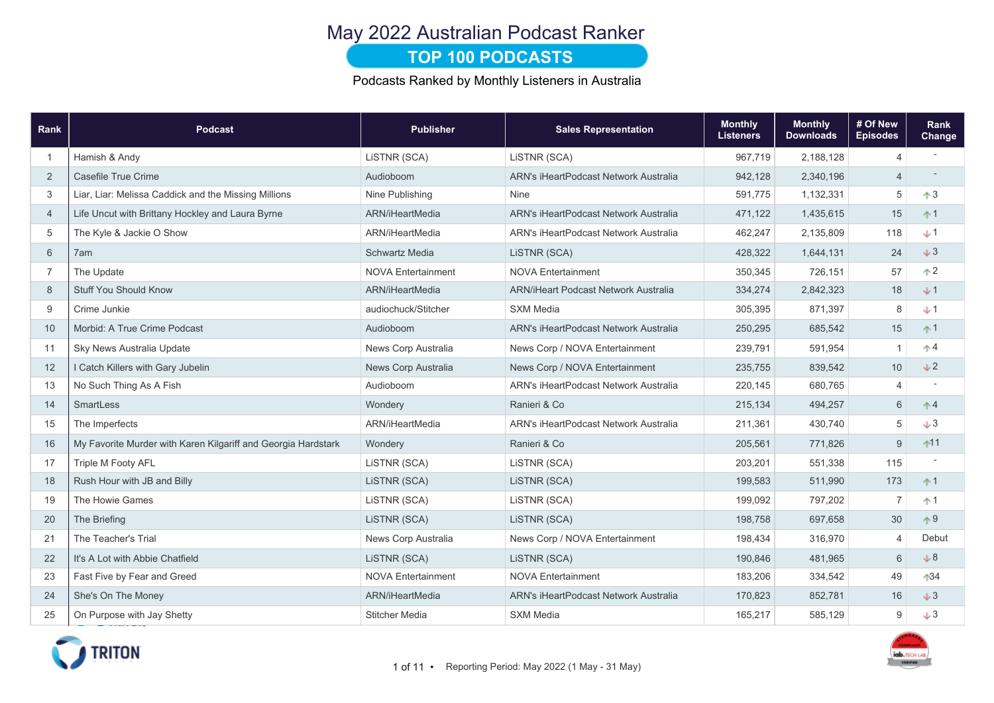# May 2022 Australian Podcast Ranker

### **TOP 100 PODCASTS**

Podcasts Ranked by Monthly Listeners in Australia

| Rank           | <b>Podcast</b>                                                | <b>Publisher</b>          | <b>Sales Representation</b>                  | <b>Monthly</b><br><b>Listeners</b> | <b>Monthly</b><br><b>Downloads</b> | # Of New<br><b>Episodes</b> | Rank<br>Change                   |
|----------------|---------------------------------------------------------------|---------------------------|----------------------------------------------|------------------------------------|------------------------------------|-----------------------------|----------------------------------|
| -1             | Hamish & Andy                                                 | LISTNR (SCA)              | LiSTNR (SCA)                                 | 967,719                            | 2,188,128                          | 4                           |                                  |
| 2              | Casefile True Crime                                           | Audioboom                 | <b>ARN's iHeartPodcast Network Australia</b> | 942,128                            | 2,340,196                          | $\overline{4}$              |                                  |
| 3              | Liar, Liar: Melissa Caddick and the Missing Millions          | Nine Publishing           | <b>Nine</b>                                  | 591,775                            | 1,132,331                          | 5                           | $\uparrow$ 3                     |
| $\overline{4}$ | Life Uncut with Brittany Hockley and Laura Byrne              | ARN/iHeartMedia           | <b>ARN's iHeartPodcast Network Australia</b> | 471,122                            | 1,435,615                          | 15                          | $+1$                             |
| 5              | The Kyle & Jackie O Show                                      | ARN/iHeartMedia           | <b>ARN's iHeartPodcast Network Australia</b> | 462,247                            | 2,135,809                          | 118                         | $+1$                             |
| 6              | 7am                                                           | <b>Schwartz Media</b>     | LiSTNR (SCA)                                 | 428,322                            | 1,644,131                          | 24                          | $+3$                             |
| $\overline{7}$ | The Update                                                    | <b>NOVA Entertainment</b> | <b>NOVA Entertainment</b>                    | 350,345                            | 726,151                            | 57                          | $\uparrow$ 2                     |
| 8              | <b>Stuff You Should Know</b>                                  | ARN/iHeartMedia           | <b>ARN/iHeart Podcast Network Australia</b>  | 334,274                            | 2,842,323                          | 18                          | $+1$                             |
| 9              | Crime Junkie                                                  | audiochuck/Stitcher       | <b>SXM Media</b>                             | 305,395                            | 871,397                            | 8                           | $+1$                             |
| 10             | Morbid: A True Crime Podcast                                  | Audioboom                 | <b>ARN's iHeartPodcast Network Australia</b> | 250,295                            | 685,542                            | 15                          | $+1$                             |
| 11             | Sky News Australia Update                                     | News Corp Australia       | News Corp / NOVA Entertainment               | 239,791                            | 591,954                            | $\overline{1}$              | $\uparrow$ 4                     |
| 12             | I Catch Killers with Gary Jubelin                             | News Corp Australia       | News Corp / NOVA Entertainment               | 235,755                            | 839,542                            | 10                          | V <sub>2</sub>                   |
| 13             | No Such Thing As A Fish                                       | Audioboom                 | ARN's iHeartPodcast Network Australia        | 220,145                            | 680,765                            | 4                           |                                  |
| 14             | <b>SmartLess</b>                                              | Wondery                   | Ranieri & Co                                 | 215,134                            | 494,257                            | $\,6$                       | $^{\tiny{\textcircled{\char'4}}$ |
| 15             | The Imperfects                                                | ARN/iHeartMedia           | <b>ARN's iHeartPodcast Network Australia</b> | 211,361                            | 430,740                            | 5                           | $+3$                             |
| 16             | My Favorite Murder with Karen Kilgariff and Georgia Hardstark | Wondery                   | Ranieri & Co                                 | 205,561                            | 771,826                            | 9                           | $11$                             |
| 17             | <b>Triple M Footy AFL</b>                                     | LISTNR (SCA)              | LiSTNR (SCA)                                 | 203,201                            | 551,338                            | 115                         |                                  |
| 18             | Rush Hour with JB and Billy                                   | LISTNR (SCA)              | LISTNR (SCA)                                 | 199,583                            | 511,990                            | 173                         | $+1$                             |
| 19             | The Howie Games                                               | LISTNR (SCA)              | LiSTNR (SCA)                                 | 199,092                            | 797,202                            | $\overline{7}$              | $^{\text{A}}$ 1                  |
| 20             | The Briefing                                                  | LISTNR (SCA)              | LISTNR (SCA)                                 | 198,758                            | 697,658                            | $30\,$                      | $+9$                             |
| 21             | The Teacher's Trial                                           | News Corp Australia       | News Corp / NOVA Entertainment               | 198,434                            | 316,970                            | 4                           | Debut                            |
| 22             | It's A Lot with Abbie Chatfield                               | LISTNR (SCA)              | LISTNR (SCA)                                 | 190,846                            | 481,965                            | 6                           | $+8$                             |
| 23             | Fast Five by Fear and Greed                                   | <b>NOVA Entertainment</b> | <b>NOVA Entertainment</b>                    | 183,206                            | 334,542                            | 49                          | $134$                            |
| 24             | She's On The Money                                            | ARN/iHeartMedia           | ARN's iHeartPodcast Network Australia        | 170,823                            | 852,781                            | 16                          | $+3$                             |
| 25             | On Purpose with Jay Shetty                                    | <b>Stitcher Media</b>     | <b>SXM Media</b>                             | 165,217                            | 585,129                            | 9                           | $+3$                             |

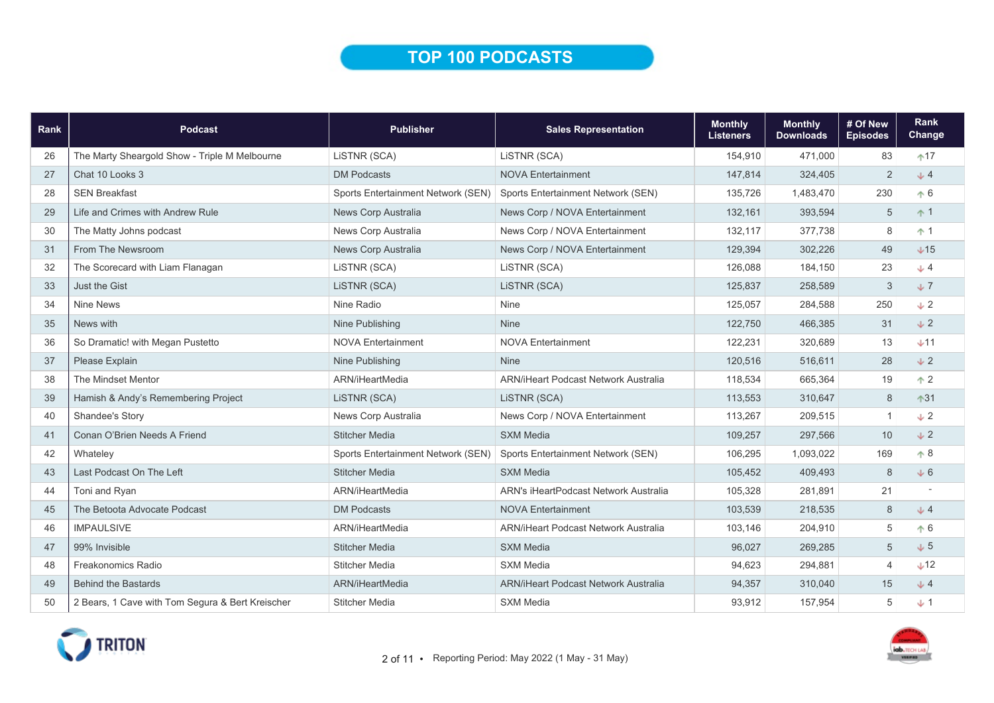### TOP 100 PODCASTS

| Rank | <b>Podcast</b>                                   | <b>Publisher</b>                   | <b>Sales Representation</b>                 | <b>Monthly</b><br><b>Listeners</b> | <b>Monthly</b><br><b>Downloads</b> | # Of New<br><b>Episodes</b> | Rank<br>Change |
|------|--------------------------------------------------|------------------------------------|---------------------------------------------|------------------------------------|------------------------------------|-----------------------------|----------------|
| 26   | The Marty Sheargold Show - Triple M Melbourne    | LISTNR (SCA)                       | LISTNR (SCA)                                | 154,910                            | 471,000                            | 83                          | $+17$          |
| 27   | Chat 10 Looks 3                                  | <b>DM Podcasts</b>                 | <b>NOVA Entertainment</b>                   | 147,814                            | 324,405                            | $\overline{2}$              | J <sub>2</sub> |
| 28   | <b>SEN Breakfast</b>                             | Sports Entertainment Network (SEN) | Sports Entertainment Network (SEN)          | 135,726                            | 1,483,470                          | 230                         | $\uparrow 6$   |
| 29   | Life and Crimes with Andrew Rule                 | News Corp Australia                | News Corp / NOVA Entertainment              | 132,161                            | 393,594                            | 5                           | $+1$           |
| 30   | The Matty Johns podcast                          | News Corp Australia                | News Corp / NOVA Entertainment              | 132,117                            | 377,738                            | 8                           | $+1$           |
| 31   | From The Newsroom                                | News Corp Australia                | News Corp / NOVA Entertainment              | 129,394                            | 302,226                            | 49                          | $+15$          |
| 32   | The Scorecard with Liam Flanagan                 | LiSTNR (SCA)                       | LISTNR (SCA)                                | 126,088                            | 184,150                            | 23                          | $+4$           |
| 33   | Just the Gist                                    | LISTNR (SCA)                       | LISTNR (SCA)                                | 125,837                            | 258,589                            | 3                           | $+7$           |
| 34   | <b>Nine News</b>                                 | Nine Radio                         | Nine                                        | 125,057                            | 284,588                            | 250                         | $+2$           |
| 35   | News with                                        | Nine Publishing                    | <b>Nine</b>                                 | 122,750                            | 466,385                            | 31                          | $+2$           |
| 36   | So Dramatic! with Megan Pustetto                 | <b>NOVA Entertainment</b>          | <b>NOVA Entertainment</b>                   | 122,231                            | 320,689                            | 13                          | $+11$          |
| 37   | Please Explain                                   | Nine Publishing                    | <b>Nine</b>                                 | 120,516                            | 516,611                            | 28                          | $+2$           |
| 38   | The Mindset Mentor                               | ARN/iHeartMedia                    | <b>ARN/iHeart Podcast Network Australia</b> | 118,534                            | 665,364                            | 19                          | $\uparrow$ 2   |
| 39   | Hamish & Andy's Remembering Project              | LISTNR (SCA)                       | LISTNR (SCA)                                | 113,553                            | 310,647                            | $\,8\,$                     | $*31$          |
| 40   | Shandee's Story                                  | News Corp Australia                | News Corp / NOVA Entertainment              | 113,267                            | 209,515                            | $\mathbf{1}$                | $\sqrt{2}$     |
| 41   | Conan O'Brien Needs A Friend                     | <b>Stitcher Media</b>              | <b>SXM Media</b>                            | 109,257                            | 297,566                            | 10                          | $+2$           |
| 42   | Whateley                                         | Sports Entertainment Network (SEN) | Sports Entertainment Network (SEN)          | 106,295                            | 1,093,022                          | 169                         | $\uparrow 8$   |
| 43   | Last Podcast On The Left                         | <b>Stitcher Media</b>              | <b>SXM Media</b>                            | 105,452                            | 409,493                            | 8                           | $+6$           |
| 44   | Toni and Ryan                                    | ARN/iHeartMedia                    | ARN's iHeartPodcast Network Australia       | 105,328                            | 281,891                            | 21                          |                |
| 45   | The Betoota Advocate Podcast                     | <b>DM Podcasts</b>                 | <b>NOVA Entertainment</b>                   | 103,539                            | 218,535                            | 8                           | J4             |
| 46   | <b>IMPAULSIVE</b>                                | ARN/iHeartMedia                    | <b>ARN/iHeart Podcast Network Australia</b> | 103,146                            | 204,910                            | 5                           | $\uparrow 6$   |
| 47   | 99% Invisible                                    | <b>Stitcher Media</b>              | <b>SXM Media</b>                            | 96,027                             | 269,285                            | 5                           | $+5$           |
| 48   | <b>Freakonomics Radio</b>                        | <b>Stitcher Media</b>              | <b>SXM Media</b>                            | 94,623                             | 294,881                            | $\overline{4}$              | $+12$          |
| 49   | <b>Behind the Bastards</b>                       | ARN/iHeartMedia                    | <b>ARN/iHeart Podcast Network Australia</b> | 94,357                             | 310,040                            | 15                          | J <sub>2</sub> |
| 50   | 2 Bears, 1 Cave with Tom Segura & Bert Kreischer | <b>Stitcher Media</b>              | <b>SXM Media</b>                            | 93,912                             | 157,954                            | 5                           | $+1$           |

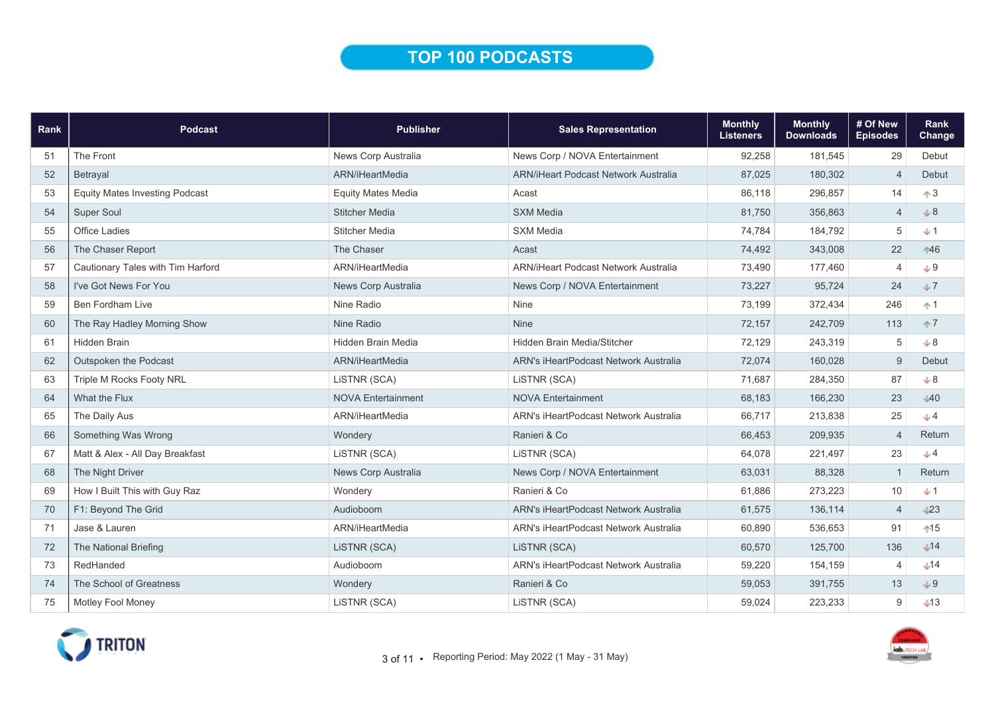# TOP 100 PODCASTS

| Rank | Podcast                               | <b>Publisher</b>          | <b>Sales Representation</b>                  | <b>Monthly</b><br><b>Listeners</b> | <b>Monthly</b><br><b>Downloads</b> | # Of New<br><b>Episodes</b> | Rank<br>Change |
|------|---------------------------------------|---------------------------|----------------------------------------------|------------------------------------|------------------------------------|-----------------------------|----------------|
| 51   | The Front                             | News Corp Australia       | News Corp / NOVA Entertainment               | 92,258                             | 181,545                            | 29                          | Debut          |
| 52   | Betrayal                              | ARN/iHeartMedia           | <b>ARN/iHeart Podcast Network Australia</b>  | 87,025                             | 180,302                            | $\overline{4}$              | Debut          |
| 53   | <b>Equity Mates Investing Podcast</b> | <b>Equity Mates Media</b> | Acast                                        | 86,118                             | 296,857                            | 14                          | $\uparrow$ 3   |
| 54   | Super Soul                            | <b>Stitcher Media</b>     | <b>SXM Media</b>                             | 81,750                             | 356,863                            | $\overline{4}$              | $+8$           |
| 55   | <b>Office Ladies</b>                  | <b>Stitcher Media</b>     | <b>SXM Media</b>                             | 74,784                             | 184,792                            | 5                           | $+1$           |
| 56   | The Chaser Report                     | The Chaser                | Acast                                        | 74,492                             | 343,008                            | 22                          | 146            |
| 57   | Cautionary Tales with Tim Harford     | ARN/iHeartMedia           | <b>ARN/iHeart Podcast Network Australia</b>  | 73,490                             | 177,460                            | 4                           | $+9$           |
| 58   | I've Got News For You                 | News Corp Australia       | News Corp / NOVA Entertainment               | 73,227                             | 95,724                             | 24                          | $+7$           |
| 59   | <b>Ben Fordham Live</b>               | Nine Radio                | Nine                                         | 73,199                             | 372,434                            | 246                         | $+1$           |
| 60   | The Ray Hadley Morning Show           | Nine Radio                | <b>Nine</b>                                  | 72,157                             | 242,709                            | 113                         | $+7$           |
| 61   | <b>Hidden Brain</b>                   | <b>Hidden Brain Media</b> | <b>Hidden Brain Media/Stitcher</b>           | 72,129                             | 243,319                            | 5                           | $+8$           |
| 62   | Outspoken the Podcast                 | ARN/iHeartMedia           | ARN's iHeartPodcast Network Australia        | 72,074                             | 160,028                            | 9                           | Debut          |
| 63   | Triple M Rocks Footy NRL              | LISTNR (SCA)              | LISTNR (SCA)                                 | 71,687                             | 284,350                            | 87                          | $+8$           |
| 64   | What the Flux                         | <b>NOVA Entertainment</b> | <b>NOVA Entertainment</b>                    | 68,183                             | 166,230                            | 23                          | $\sqrt{40}$    |
| 65   | The Daily Aus                         | ARN/iHeartMedia           | <b>ARN's iHeartPodcast Network Australia</b> | 66,717                             | 213,838                            | 25                          | $+4$           |
| 66   | Something Was Wrong                   | Wondery                   | Ranieri & Co                                 | 66,453                             | 209,935                            | $\overline{4}$              | Return         |
| 67   | Matt & Alex - All Day Breakfast       | LISTNR (SCA)              | LISTNR (SCA)                                 | 64,078                             | 221,497                            | 23                          | $+4$           |
| 68   | The Night Driver                      | News Corp Australia       | News Corp / NOVA Entertainment               | 63,031                             | 88,328                             | $\overline{1}$              | Return         |
| 69   | How I Built This with Guy Raz         | Wondery                   | Ranieri & Co                                 | 61,886                             | 273,223                            | 10                          | $+1$           |
| 70   | F1: Beyond The Grid                   | Audioboom                 | ARN's iHeartPodcast Network Australia        | 61,575                             | 136,114                            | $\overline{4}$              | L23            |
| 71   | Jase & Lauren                         | ARN/iHeartMedia           | <b>ARN's iHeartPodcast Network Australia</b> | 60,890                             | 536,653                            | 91                          | $15$           |
| 72   | The National Briefing                 | LISTNR (SCA)              | LISTNR (SCA)                                 | 60,570                             | 125,700                            | 136                         | $\bigcup$ 14   |
| 73   | RedHanded                             | Audioboom                 | ARN's iHeartPodcast Network Australia        | 59,220                             | 154,159                            | 4                           | $+14$          |
| 74   | The School of Greatness               | Wondery                   | Ranieri & Co                                 | 59,053                             | 391,755                            | 13                          | $+9$           |
| 75   | Motley Fool Money                     | LiSTNR (SCA)              | LiSTNR (SCA)                                 | 59,024                             | 223,233                            | 9                           | $+13$          |

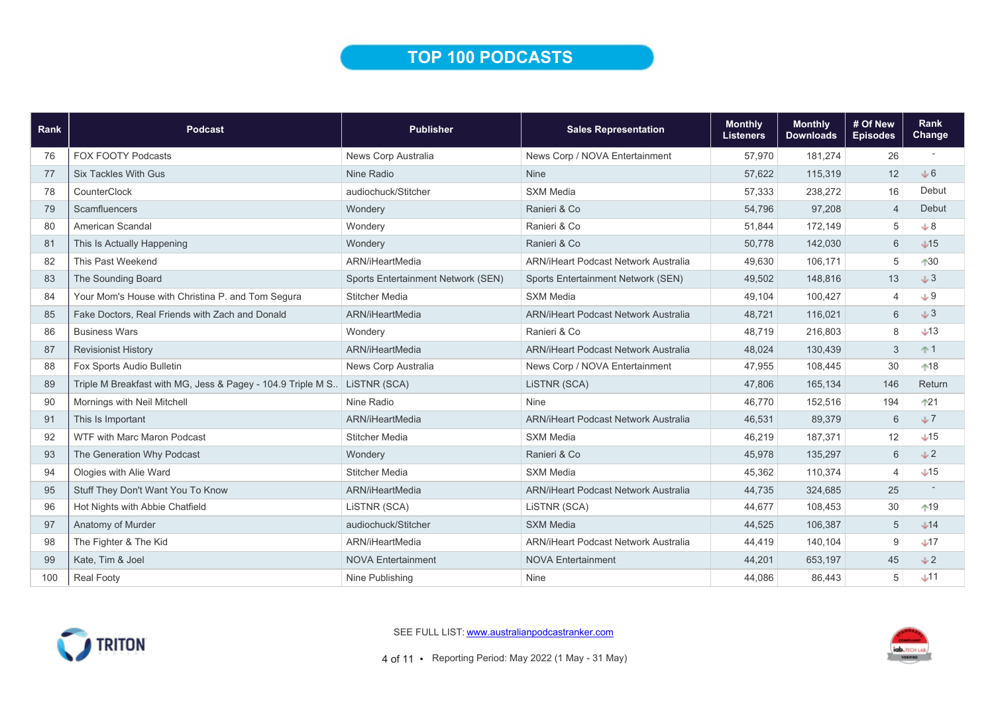# TOP 100 PODCASTS

| Rank | <b>Podcast</b>                                                            | <b>Publisher</b>                   | <b>Sales Representation</b>                 | <b>Monthly</b><br><b>Listeners</b> | <b>Monthly</b><br><b>Downloads</b> | # Of New<br><b>Episodes</b> | Rank<br>Change  |
|------|---------------------------------------------------------------------------|------------------------------------|---------------------------------------------|------------------------------------|------------------------------------|-----------------------------|-----------------|
| 76   | <b>FOX FOOTY Podcasts</b>                                                 | News Corp Australia                | News Corp / NOVA Entertainment              | 57,970                             | 181,274                            | 26                          |                 |
| 77   | <b>Six Tackles With Gus</b>                                               | Nine Radio                         | <b>Nine</b>                                 | 57,622                             | 115,319                            | 12                          | $\sqrt{6}$      |
| 78   | CounterClock                                                              | audiochuck/Stitcher                | <b>SXM Media</b>                            | 57,333                             | 238,272                            | 16                          | Debut           |
| 79   | Scamfluencers                                                             | Wondery                            | Ranieri & Co                                | 54,796                             | 97,208                             | $\overline{4}$              | Debut           |
| 80   | American Scandal                                                          | Wondery                            | Ranieri & Co                                | 51,844                             | 172,149                            | 5                           | $\cup$ 8        |
| 81   | This Is Actually Happening                                                | Wondery                            | Ranieri & Co                                | 50,778                             | 142,030                            | 6                           | $\bigcup$ 15    |
| 82   | This Past Weekend                                                         | ARN/iHeartMedia                    | <b>ARN/iHeart Podcast Network Australia</b> | 49,630                             | 106,171                            | 5                           | $130$           |
| 83   | The Sounding Board                                                        | Sports Entertainment Network (SEN) | Sports Entertainment Network (SEN)          | 49,502                             | 148,816                            | 13                          | J3              |
| 84   | Your Mom's House with Christina P. and Tom Segura                         | <b>Stitcher Media</b>              | <b>SXM Media</b>                            | 49,104                             | 100,427                            | $\overline{4}$              | $+9$            |
| 85   | Fake Doctors, Real Friends with Zach and Donald                           | ARN/iHeartMedia                    | <b>ARN/iHeart Podcast Network Australia</b> | 48,721                             | 116,021                            | $6\phantom{1}$              | J3              |
| 86   | <b>Business Wars</b>                                                      | Wondery                            | Ranieri & Co                                | 48,719                             | 216,803                            | 8                           | $\bigcup$ 13    |
| 87   | <b>Revisionist History</b>                                                | ARN/iHeartMedia                    | <b>ARN/iHeart Podcast Network Australia</b> | 48,024                             | 130,439                            | 3                           | $+1$            |
| 88   | Fox Sports Audio Bulletin                                                 | News Corp Australia                | News Corp / NOVA Entertainment              | 47,955                             | 108,445                            | $30\,$                      | $*18$           |
| 89   | Triple M Breakfast with MG, Jess & Pagey - 104.9 Triple M S. LISTNR (SCA) |                                    | LISTNR (SCA)                                | 47,806                             | 165,134                            | 146                         | Return          |
| 90   | Mornings with Neil Mitchell                                               | Nine Radio                         | <b>Nine</b>                                 | 46.770                             | 152,516                            | 194                         | $121$           |
| 91   | This Is Important                                                         | ARN/iHeartMedia                    | <b>ARN/iHeart Podcast Network Australia</b> | 46,531                             | 89,379                             | 6                           | J               |
| 92   | <b>WTF with Marc Maron Podcast</b>                                        | <b>Stitcher Media</b>              | <b>SXM Media</b>                            | 46,219                             | 187,371                            | 12                          | $\sqrt{15}$     |
| 93   | The Generation Why Podcast                                                | Wondery                            | Ranieri & Co                                | 45,978                             | 135,297                            | 6                           | $\sqrt{2}$      |
| 94   | Ologies with Alie Ward                                                    | <b>Stitcher Media</b>              | <b>SXM Media</b>                            | 45,362                             | 110,374                            | $\overline{4}$              | $\downarrow$ 15 |
| 95   | Stuff They Don't Want You To Know                                         | ARN/iHeartMedia                    | <b>ARN/iHeart Podcast Network Australia</b> | 44,735                             | 324,685                            | 25                          |                 |
| 96   | Hot Nights with Abbie Chatfield                                           | LISTNR (SCA)                       | LISTNR (SCA)                                | 44,677                             | 108,453                            | 30                          | $*19$           |
| 97   | Anatomy of Murder                                                         | audiochuck/Stitcher                | <b>SXM Media</b>                            | 44,525                             | 106,387                            | 5                           | J14             |
| 98   | The Fighter & The Kid                                                     | ARN/iHeartMedia                    | <b>ARN/iHeart Podcast Network Australia</b> | 44,419                             | 140,104                            | 9                           | J17             |
| 99   | Kate, Tim & Joel                                                          | <b>NOVA Entertainment</b>          | <b>NOVA Entertainment</b>                   | 44,201                             | 653,197                            | 45                          | V <sub>2</sub>  |
| 100  | <b>Real Footy</b>                                                         | Nine Publishing                    | <b>Nine</b>                                 | 44,086                             | 86,443                             | 5                           | $+11$           |



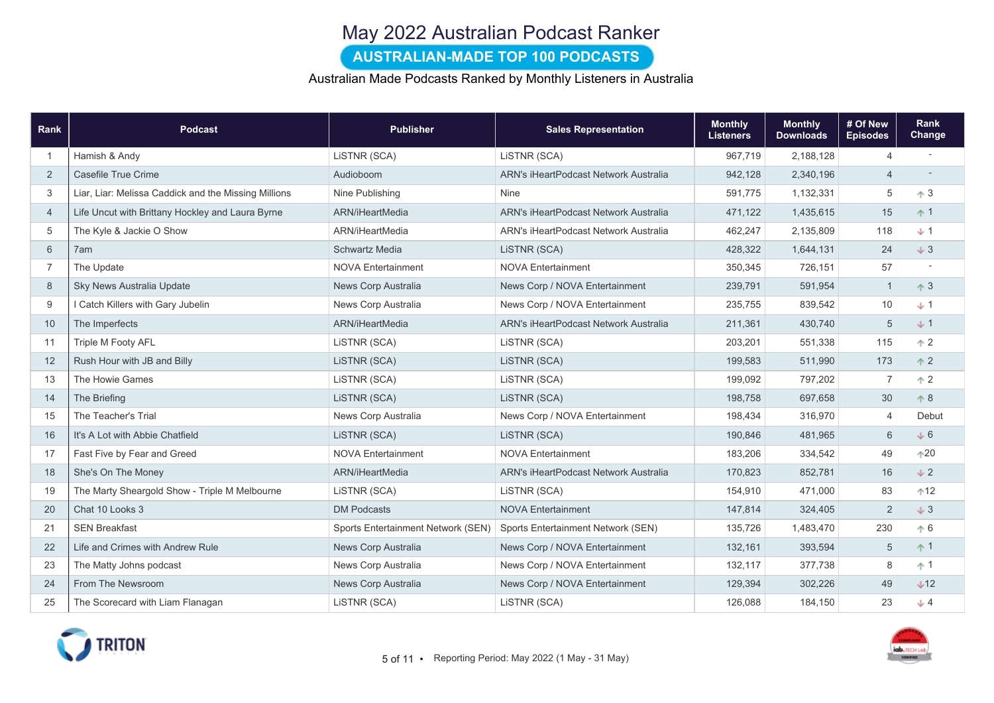# May 2022 Australian Podcast Ranker

### AUSTRALIAN-MADE TOP 100 PODCASTS

#### Australian Made Podcasts Ranked by Monthly Listeners in Australia

| Rank           | Podcast                                              | <b>Publisher</b>                   | <b>Sales Representation</b>           | <b>Monthly</b><br><b>Listeners</b> | <b>Monthly</b><br><b>Downloads</b> | # Of New<br><b>Episodes</b> | Rank<br>Change |
|----------------|------------------------------------------------------|------------------------------------|---------------------------------------|------------------------------------|------------------------------------|-----------------------------|----------------|
|                | Hamish & Andy                                        | LISTNR (SCA)                       | LISTNR (SCA)                          | 967,719                            | 2,188,128                          | $\overline{4}$              |                |
| 2              | Casefile True Crime                                  | Audioboom                          | ARN's iHeartPodcast Network Australia | 942,128                            | 2,340,196                          | $\overline{4}$              |                |
| 3              | Liar, Liar: Melissa Caddick and the Missing Millions | Nine Publishing                    | Nine                                  | 591,775                            | 1,132,331                          | $\sqrt{5}$                  | $\uparrow$ 3   |
| $\overline{4}$ | Life Uncut with Brittany Hockley and Laura Byrne     | ARN/iHeartMedia                    | ARN's iHeartPodcast Network Australia | 471,122                            | 1,435,615                          | 15                          | $\uparrow$ 1   |
| 5              | The Kyle & Jackie O Show                             | ARN/iHeartMedia                    | ARN's iHeartPodcast Network Australia | 462,247                            | 2,135,809                          | 118                         | $+1$           |
| 6              | 7am                                                  | Schwartz Media                     | LISTNR (SCA)                          | 428,322                            | 1,644,131                          | 24                          | $+3$           |
| $\overline{7}$ | The Update                                           | <b>NOVA Entertainment</b>          | <b>NOVA Entertainment</b>             | 350,345                            | 726,151                            | 57                          |                |
| 8              | Sky News Australia Update                            | News Corp Australia                | News Corp / NOVA Entertainment        | 239,791                            | 591,954                            | $\overline{1}$              | $\uparrow$ 3   |
| 9              | I Catch Killers with Gary Jubelin                    | News Corp Australia                | News Corp / NOVA Entertainment        | 235,755                            | 839,542                            | 10                          | J              |
| 10             | The Imperfects                                       | ARN/iHeartMedia                    | ARN's iHeartPodcast Network Australia | 211,361                            | 430,740                            | 5                           | J <sub>2</sub> |
| 11             | <b>Triple M Footy AFL</b>                            | LISTNR (SCA)                       | LISTNR (SCA)                          | 203,201                            | 551,338                            | 115                         | $\uparrow$ 2   |
| 12             | Rush Hour with JB and Billy                          | LiSTNR (SCA)                       | LISTNR (SCA)                          | 199,583                            | 511,990                            | 173                         | $\uparrow$ 2   |
| 13             | The Howie Games                                      | LISTNR (SCA)                       | LISTNR (SCA)                          | 199,092                            | 797.202                            | $\overline{7}$              | $\uparrow$ 2   |
| 14             | The Briefing                                         | LISTNR (SCA)                       | LISTNR (SCA)                          | 198,758                            | 697,658                            | 30                          | $\uparrow 8$   |
| 15             | The Teacher's Trial                                  | News Corp Australia                | News Corp / NOVA Entertainment        | 198,434                            | 316,970                            | $\overline{4}$              | Debut          |
| 16             | It's A Lot with Abbie Chatfield                      | LISTNR (SCA)                       | LISTNR (SCA)                          | 190,846                            | 481,965                            | 6                           | $+6$           |
| 17             | Fast Five by Fear and Greed                          | <b>NOVA Entertainment</b>          | <b>NOVA Entertainment</b>             | 183,206                            | 334,542                            | 49                          | $*20$          |
| 18             | She's On The Money                                   | ARN/iHeartMedia                    | ARN's iHeartPodcast Network Australia | 170,823                            | 852,781                            | 16                          | $\sqrt{2}$     |
| 19             | The Marty Sheargold Show - Triple M Melbourne        | LISTNR (SCA)                       | LISTNR (SCA)                          | 154,910                            | 471,000                            | 83                          | $+12$          |
| 20             | Chat 10 Looks 3                                      | <b>DM Podcasts</b>                 | <b>NOVA Entertainment</b>             | 147,814                            | 324,405                            | $\overline{2}$              | $+3$           |
| 21             | <b>SEN Breakfast</b>                                 | Sports Entertainment Network (SEN) | Sports Entertainment Network (SEN)    | 135,726                            | 1,483,470                          | 230                         | $\uparrow 6$   |
| 22             | Life and Crimes with Andrew Rule                     | News Corp Australia                | News Corp / NOVA Entertainment        | 132,161                            | 393,594                            | 5                           | $+1$           |
| 23             | The Matty Johns podcast                              | News Corp Australia                | News Corp / NOVA Entertainment        | 132,117                            | 377,738                            | $\,8\,$                     | $+1$           |
| 24             | From The Newsroom                                    | News Corp Australia                | News Corp / NOVA Entertainment        | 129,394                            | 302,226                            | 49                          | $+12$          |
| 25             | The Scorecard with Liam Flanagan                     | LiSTNR (SCA)                       | LiSTNR (SCA)                          | 126,088                            | 184,150                            | 23                          | $+4$           |

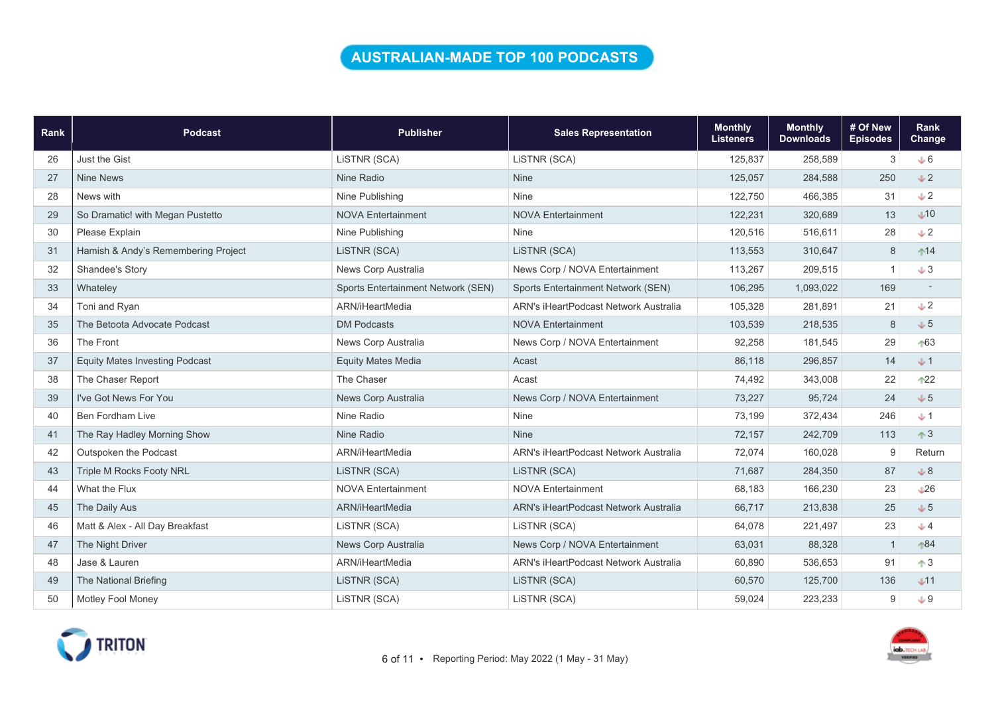### AUSTRALIAN-MADE TOP 100 PODCASTS

| Rank | <b>Podcast</b>                        | <b>Publisher</b>                   | <b>Sales Representation</b>           | <b>Monthly</b><br><b>Listeners</b> | <b>Monthly</b><br><b>Downloads</b> | # Of New<br><b>Episodes</b> | Rank<br><b>Change</b> |
|------|---------------------------------------|------------------------------------|---------------------------------------|------------------------------------|------------------------------------|-----------------------------|-----------------------|
| 26   | <b>Just the Gist</b>                  | LISTNR (SCA)                       | LISTNR (SCA)                          | 125,837                            | 258,589                            | 3                           | $+6$                  |
| 27   | <b>Nine News</b>                      | Nine Radio                         | Nine                                  | 125,057                            | 284,588                            | 250                         | $\sqrt{2}$            |
| 28   | News with                             | Nine Publishing                    | Nine                                  | 122,750                            | 466,385                            | 31                          | $\sqrt{2}$            |
| 29   | So Dramatic! with Megan Pustetto      | <b>NOVA Entertainment</b>          | <b>NOVA Entertainment</b>             | 122,231                            | 320,689                            | 13                          | $\bigcup$ 10          |
| 30   | Please Explain                        | Nine Publishing                    | <b>Nine</b>                           | 120,516                            | 516,611                            | 28                          | $+2$                  |
| 31   | Hamish & Andy's Remembering Project   | LISTNR (SCA)                       | LISTNR (SCA)                          | 113,553                            | 310,647                            | 8                           | $14$                  |
| 32   | Shandee's Story                       | News Corp Australia                | News Corp / NOVA Entertainment        | 113,267                            | 209,515                            |                             | $+3$                  |
| 33   | Whateley                              | Sports Entertainment Network (SEN) | Sports Entertainment Network (SEN)    | 106,295                            | 1,093,022                          | 169                         |                       |
| 34   | Toni and Ryan                         | ARN/iHeartMedia                    | ARN's iHeartPodcast Network Australia | 105,328                            | 281,891                            | 21                          | $\sqrt{2}$            |
| 35   | The Betoota Advocate Podcast          | <b>DM Podcasts</b>                 | <b>NOVA Entertainment</b>             | 103,539                            | 218,535                            | 8                           | $+5$                  |
| 36   | The Front                             | News Corp Australia                | News Corp / NOVA Entertainment        | 92,258                             | 181,545                            | 29                          | $+63$                 |
| 37   | <b>Equity Mates Investing Podcast</b> | <b>Equity Mates Media</b>          | Acast                                 | 86,118                             | 296,857                            | 14                          | $+1$                  |
| 38   | The Chaser Report                     | The Chaser                         | Acast                                 | 74,492                             | 343,008                            | 22                          | $122$                 |
| 39   | I've Got News For You                 | News Corp Australia                | News Corp / NOVA Entertainment        | 73,227                             | 95,724                             | 24                          | $+5$                  |
| 40   | <b>Ben Fordham Live</b>               | Nine Radio                         | <b>Nine</b>                           | 73,199                             | 372,434                            | 246                         | $+1$                  |
| 41   | The Ray Hadley Morning Show           | Nine Radio                         | <b>Nine</b>                           | 72,157                             | 242,709                            | 113                         | $\uparrow$ 3          |
| 42   | Outspoken the Podcast                 | ARN/iHeartMedia                    | ARN's iHeartPodcast Network Australia | 72,074                             | 160,028                            | 9                           | Return                |
| 43   | Triple M Rocks Footy NRL              | LISTNR (SCA)                       | LISTNR (SCA)                          | 71,687                             | 284,350                            | 87                          | $+8$                  |
| 44   | What the Flux                         | <b>NOVA Entertainment</b>          | <b>NOVA Entertainment</b>             | 68,183                             | 166,230                            | 23                          | $\downarrow$ 26       |
| 45   | The Daily Aus                         | ARN/iHeartMedia                    | ARN's iHeartPodcast Network Australia | 66,717                             | 213,838                            | 25                          | $+5$                  |
| 46   | Matt & Alex - All Day Breakfast       | LISTNR (SCA)                       | LISTNR (SCA)                          | 64,078                             | 221,497                            | 23                          | $+4$                  |
| 47   | The Night Driver                      | News Corp Australia                | News Corp / NOVA Entertainment        | 63,031                             | 88,328                             | $\mathbf{1}$                | $*84$                 |
| 48   | Jase & Lauren                         | ARN/iHeartMedia                    | ARN's iHeartPodcast Network Australia | 60,890                             | 536,653                            | 91                          | $\uparrow$ 3          |
| 49   | The National Briefing                 | LISTNR (SCA)                       | LISTNR (SCA)                          | 60,570                             | 125,700                            | 136                         | $+11$                 |
| 50   | Motley Fool Money                     | LISTNR (SCA)                       | LISTNR (SCA)                          | 59,024                             | 223,233                            | 9                           | $+9$                  |

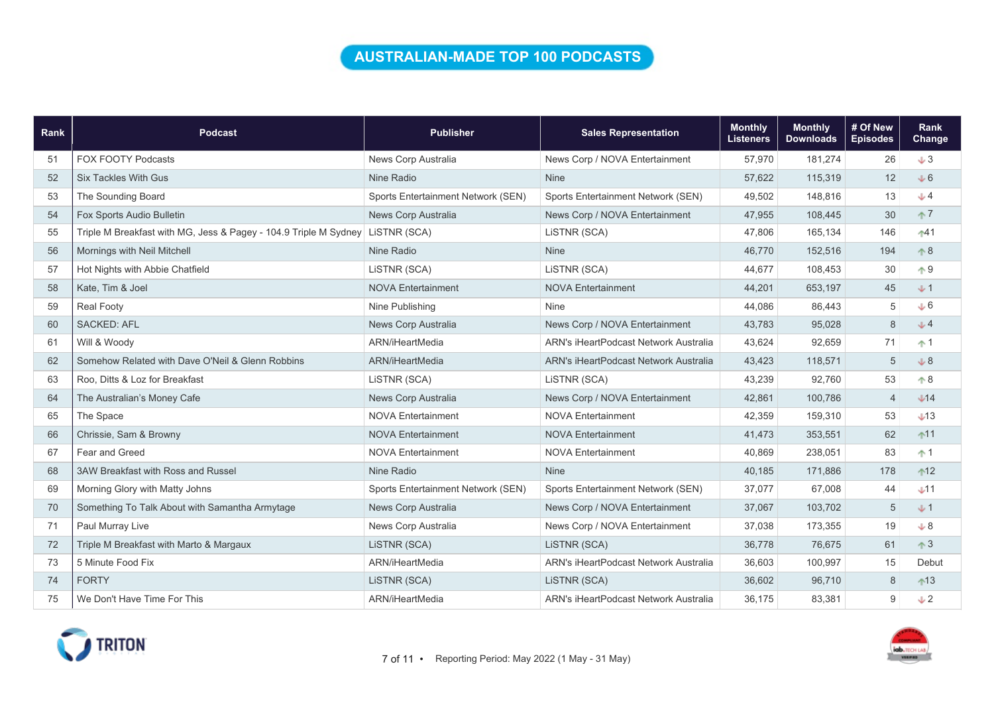### AUSTRALIAN-MADE TOP 100 PODCASTS

| Rank | <b>Podcast</b>                                                   | <b>Publisher</b>                   | <b>Sales Representation</b>                  | <b>Monthly</b><br><b>Listeners</b> | <b>Monthly</b><br><b>Downloads</b> | # Of New<br><b>Episodes</b> | Rank<br>Change |
|------|------------------------------------------------------------------|------------------------------------|----------------------------------------------|------------------------------------|------------------------------------|-----------------------------|----------------|
| 51   | <b>FOX FOOTY Podcasts</b>                                        | News Corp Australia                | News Corp / NOVA Entertainment               | 57,970                             | 181,274                            | 26                          | $+3$           |
| 52   | <b>Six Tackles With Gus</b>                                      | Nine Radio                         | <b>Nine</b>                                  | 57,622                             | 115,319                            | 12                          | $+6$           |
| 53   | The Sounding Board                                               | Sports Entertainment Network (SEN) | Sports Entertainment Network (SEN)           | 49,502                             | 148,816                            | 13                          | $+4$           |
| 54   | Fox Sports Audio Bulletin                                        | News Corp Australia                | News Corp / NOVA Entertainment               | 47,955                             | 108,445                            | 30                          | $\uparrow$ 7   |
| 55   | Triple M Breakfast with MG, Jess & Pagey - 104.9 Triple M Sydney | LISTNR (SCA)                       | LISTNR (SCA)                                 | 47,806                             | 165,134                            | 146                         | $+41$          |
| 56   | Mornings with Neil Mitchell                                      | Nine Radio                         | <b>Nine</b>                                  | 46,770                             | 152,516                            | 194                         | $\uparrow 8$   |
| 57   | Hot Nights with Abbie Chatfield                                  | LISTNR (SCA)                       | LISTNR (SCA)                                 | 44,677                             | 108,453                            | 30                          | $\uparrow$ 9   |
| 58   | Kate. Tim & Joel                                                 | <b>NOVA Entertainment</b>          | <b>NOVA Entertainment</b>                    | 44,201                             | 653,197                            | 45                          | $+1$           |
| 59   | <b>Real Footy</b>                                                | Nine Publishing                    | <b>Nine</b>                                  | 44,086                             | 86,443                             | 5                           | J6             |
| 60   | <b>SACKED: AFL</b>                                               | News Corp Australia                | News Corp / NOVA Entertainment               | 43,783                             | 95,028                             | $\,8\,$                     | J <sub>4</sub> |
| 61   | Will & Woody                                                     | ARN/iHeartMedia                    | <b>ARN's iHeartPodcast Network Australia</b> | 43,624                             | 92,659                             | 71                          | $+1$           |
| 62   | Somehow Related with Dave O'Neil & Glenn Robbins                 | ARN/iHeartMedia                    | ARN's iHeartPodcast Network Australia        | 43,423                             | 118,571                            | 5                           | $+8$           |
| 63   | Roo, Ditts & Loz for Breakfast                                   | LISTNR (SCA)                       | LISTNR (SCA)                                 | 43,239                             | 92,760                             | 53                          | $\uparrow 8$   |
| 64   | The Australian's Money Cafe                                      | News Corp Australia                | News Corp / NOVA Entertainment               | 42,861                             | 100,786                            | $\overline{4}$              | $+14$          |
| 65   | The Space                                                        | <b>NOVA Entertainment</b>          | <b>NOVA Entertainment</b>                    | 42,359                             | 159.310                            | 53                          | $+13$          |
| 66   | Chrissie, Sam & Browny                                           | <b>NOVA Entertainment</b>          | <b>NOVA Entertainment</b>                    | 41,473                             | 353,551                            | 62                          | $11$           |
| 67   | Fear and Greed                                                   | <b>NOVA Entertainment</b>          | <b>NOVA Entertainment</b>                    | 40,869                             | 238,051                            | 83                          | $+1$           |
| 68   | 3AW Breakfast with Ross and Russel                               | Nine Radio                         | <b>Nine</b>                                  | 40,185                             | 171,886                            | 178                         | $12$           |
| 69   | Morning Glory with Matty Johns                                   | Sports Entertainment Network (SEN) | Sports Entertainment Network (SEN)           | 37,077                             | 67.008                             | 44                          | $+11$          |
| 70   | Something To Talk About with Samantha Armytage                   | News Corp Australia                | News Corp / NOVA Entertainment               | 37,067                             | 103,702                            | 5                           | $+1$           |
| 71   | Paul Murray Live                                                 | News Corp Australia                | News Corp / NOVA Entertainment               | 37,038                             | 173,355                            | 19                          | $+8$           |
| 72   | Triple M Breakfast with Marto & Margaux                          | LiSTNR (SCA)                       | LiSTNR (SCA)                                 | 36,778                             | 76,675                             | 61                          | $\uparrow$ 3   |
| 73   | 5 Minute Food Fix                                                | ARN/iHeartMedia                    | ARN's iHeartPodcast Network Australia        | 36,603                             | 100,997                            | 15                          | Debut          |
| 74   | <b>FORTY</b>                                                     | LISTNR (SCA)                       | LISTNR (SCA)                                 | 36,602                             | 96,710                             | 8                           | $13$           |
| 75   | We Don't Have Time For This                                      | ARN/iHeartMedia                    | ARN's iHeartPodcast Network Australia        | 36.175                             | 83,381                             | 9                           | $+2$           |



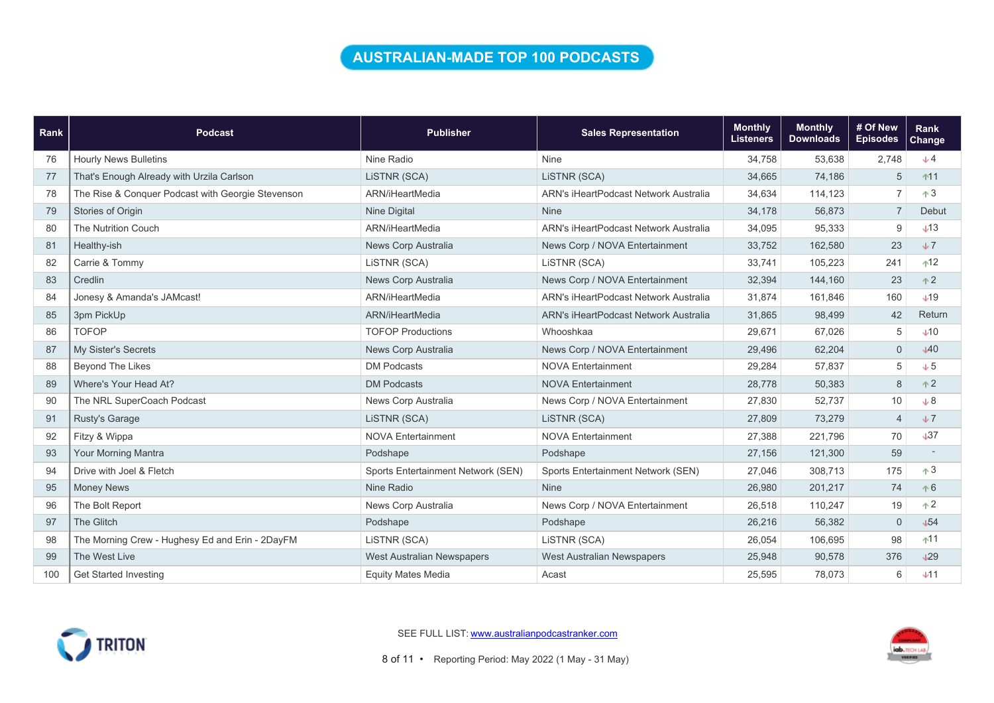### AUSTRALIAN-MADE TOP 100 PODCASTS

| Rank | <b>Podcast</b>                                    | <b>Publisher</b>                   | <b>Sales Representation</b>           | <b>Monthly</b><br><b>Listeners</b> | <b>Monthly</b><br><b>Downloads</b> | # Of New<br><b>Episodes</b> | Rank<br><b>Change</b> |
|------|---------------------------------------------------|------------------------------------|---------------------------------------|------------------------------------|------------------------------------|-----------------------------|-----------------------|
| 76   | <b>Hourly News Bulletins</b>                      | Nine Radio                         | Nine                                  | 34,758                             | 53,638                             | 2,748                       | $+4$                  |
| 77   | That's Enough Already with Urzila Carlson         | LISTNR (SCA)                       | LISTNR (SCA)                          | 34,665                             | 74,186                             | 5                           | $11$                  |
| 78   | The Rise & Conquer Podcast with Georgie Stevenson | ARN/iHeartMedia                    | ARN's iHeartPodcast Network Australia | 34,634                             | 114,123                            | $\overline{7}$              | $\uparrow 3$          |
| 79   | Stories of Origin                                 | <b>Nine Digital</b>                | <b>Nine</b>                           | 34,178                             | 56,873                             | $\overline{7}$              | Debut                 |
| 80   | <b>The Nutrition Couch</b>                        | ARN/iHeartMedia                    | ARN's iHeartPodcast Network Australia | 34,095                             | 95,333                             | 9                           | $+13$                 |
| 81   | Healthy-ish                                       | News Corp Australia                | News Corp / NOVA Entertainment        | 33,752                             | 162,580                            | 23                          | $+7$                  |
| 82   | Carrie & Tommy                                    | LISTNR (SCA)                       | LISTNR (SCA)                          | 33,741                             | 105,223                            | 241                         | $+12$                 |
| 83   | Credlin                                           | News Corp Australia                | News Corp / NOVA Entertainment        | 32,394                             | 144,160                            | 23                          | $+2$                  |
| 84   | Jonesy & Amanda's JAMcast!                        | ARN/iHeartMedia                    | ARN's iHeartPodcast Network Australia | 31,874                             | 161,846                            | 160                         | $+19$                 |
| 85   | 3pm PickUp                                        | ARN/iHeartMedia                    | ARN's iHeartPodcast Network Australia | 31,865                             | 98,499                             | 42                          | Return                |
| 86   | <b>TOFOP</b>                                      | <b>TOFOP Productions</b>           | Whooshkaa                             | 29,671                             | 67,026                             | 5                           | $+10$                 |
| 87   | My Sister's Secrets                               | News Corp Australia                | News Corp / NOVA Entertainment        | 29,496                             | 62,204                             | $\mathbf 0$                 | 40                    |
| 88   | <b>Beyond The Likes</b>                           | <b>DM Podcasts</b>                 | <b>NOVA Entertainment</b>             | 29,284                             | 57,837                             | 5                           | $+5$                  |
| 89   | Where's Your Head At?                             | <b>DM Podcasts</b>                 | <b>NOVA Entertainment</b>             | 28,778                             | 50,383                             | 8                           | $+2$                  |
| 90   | The NRL SuperCoach Podcast                        | News Corp Australia                | News Corp / NOVA Entertainment        | 27,830                             | 52,737                             | 10                          | $+8$                  |
| 91   | Rusty's Garage                                    | LISTNR (SCA)                       | LISTNR (SCA)                          | 27,809                             | 73,279                             | $\overline{4}$              | $+7$                  |
| 92   | Fitzy & Wippa                                     | <b>NOVA Entertainment</b>          | <b>NOVA Entertainment</b>             | 27,388                             | 221,796                            | 70                          | $+37$                 |
| 93   | Your Morning Mantra                               | Podshape                           | Podshape                              | 27,156                             | 121,300                            | 59                          |                       |
| 94   | Drive with Joel & Fletch                          | Sports Entertainment Network (SEN) | Sports Entertainment Network (SEN)    | 27,046                             | 308,713                            | 175                         | $+3$                  |
| 95   | <b>Money News</b>                                 | Nine Radio                         | <b>Nine</b>                           | 26,980                             | 201,217                            | 74                          | $+6$                  |
| 96   | The Bolt Report                                   | News Corp Australia                | News Corp / NOVA Entertainment        | 26,518                             | 110,247                            | 19                          | $+2$                  |
| 97   | The Glitch                                        | Podshape                           | Podshape                              | 26,216                             | 56,382                             | $\mathbf{0}$                | $+54$                 |
| 98   | The Morning Crew - Hughesy Ed and Erin - 2DayFM   | LISTNR (SCA)                       | LISTNR (SCA)                          | 26,054                             | 106,695                            | 98                          | $11$                  |
| 99   | The West Live                                     | <b>West Australian Newspapers</b>  | West Australian Newspapers            | 25,948                             | 90,578                             | 376                         | 129                   |
| 100  | <b>Get Started Investing</b>                      | <b>Equity Mates Media</b>          | Acast                                 | 25,595                             | 78,073                             | 6                           | $+11$                 |



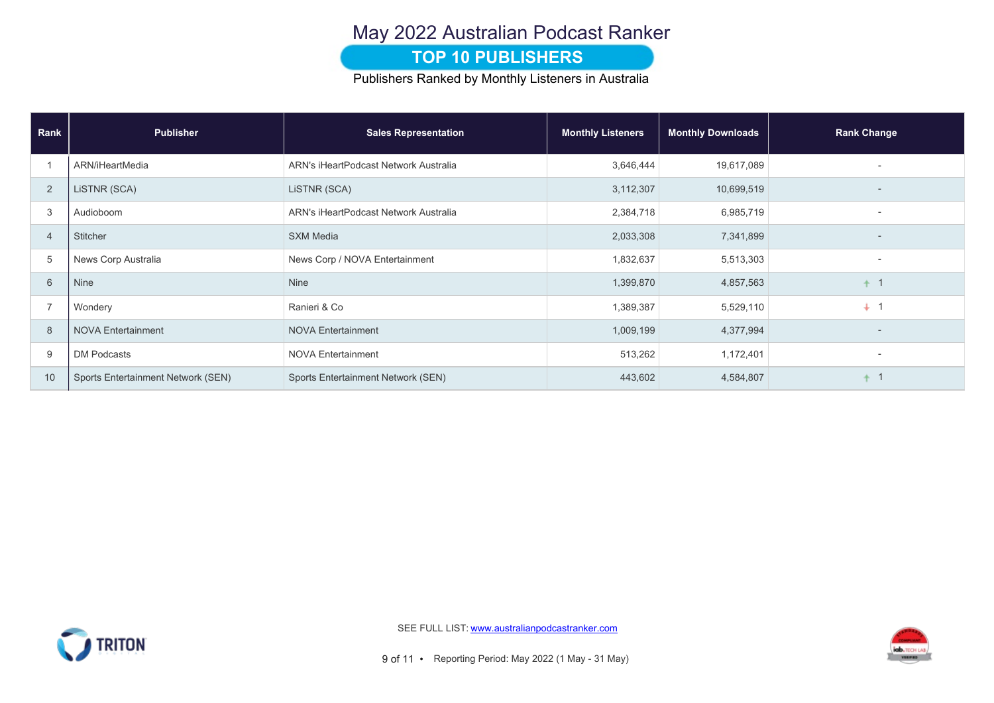## May 2022 Australian Podcast Ranker

#### **TOP 10 PUBLISHERS**

Publishers Ranked by Monthly Listeners in Australia

| Rank           | <b>Publisher</b>                   | <b>Sales Representation</b>           | <b>Monthly Listeners</b> | <b>Monthly Downloads</b> | <b>Rank Change</b>       |
|----------------|------------------------------------|---------------------------------------|--------------------------|--------------------------|--------------------------|
|                | ARN/iHeartMedia                    | ARN's iHeartPodcast Network Australia | 3,646,444                | 19,617,089               |                          |
| 2              | LISTNR (SCA)                       | LISTNR (SCA)                          | 3,112,307                | 10,699,519               |                          |
| 3              | Audioboom                          | ARN's iHeartPodcast Network Australia | 2,384,718                | 6,985,719                | $\overline{\phantom{a}}$ |
| $\overline{4}$ | Stitcher                           | <b>SXM Media</b>                      | 2,033,308                | 7,341,899                |                          |
| 5              | News Corp Australia                | News Corp / NOVA Entertainment        | 1,832,637                | 5,513,303                |                          |
| 6              | Nine                               | Nine                                  | 1,399,870                | 4,857,563                | $\overline{1}$           |
| $\overline{7}$ | Wondery                            | Ranieri & Co                          | 1,389,387                | 5,529,110                | $+1$                     |
| 8              | <b>NOVA Entertainment</b>          | <b>NOVA Entertainment</b>             | 1,009,199                | 4,377,994                |                          |
| 9              | <b>DM Podcasts</b>                 | <b>NOVA Entertainment</b>             | 513,262                  | 1,172,401                | $\overline{\phantom{a}}$ |
| 10             | Sports Entertainment Network (SEN) | Sports Entertainment Network (SEN)    | 443,602                  | 4,584,807                |                          |



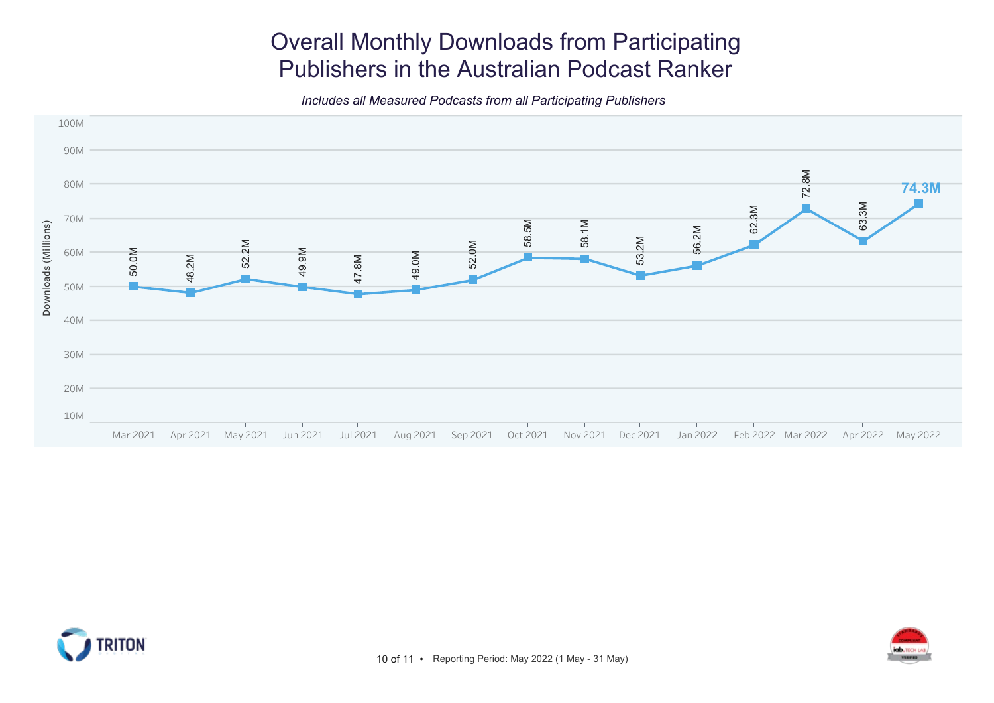# Overall Monthly Downloads from Participating Publishers in the Australian Podcast Ranker

Includes all Measured Podcasts from all Participating Publishers